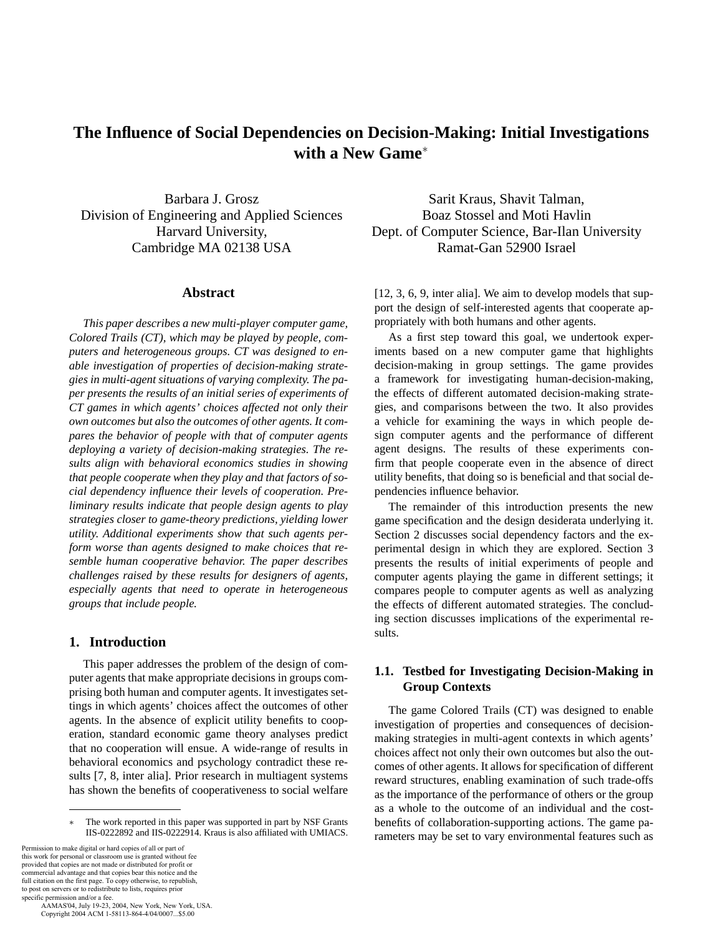# **The Influence of Social Dependencies on Decision-Making: Initial Investigations with a New Game**<sup>∗</sup>

Barbara J. Grosz Division of Engineering and Applied Sciences Harvard University, Cambridge MA 02138 USA

### **Abstract**

*This paper describes a new multi-player computer game, Colored Trails (CT), which may be played by people, computers and heterogeneous groups. CT was designed to enable investigation of properties of decision-making strategies in multi-agent situations of varying complexity. The paper presents the results of an initial series of experiments of CT games in which agents' choices affected not only their own outcomes but also the outcomes of other agents. It compares the behavior of people with that of computer agents deploying a variety of decision-making strategies. The results align with behavioral economics studies in showing that people cooperate when they play and that factors of social dependency influence their levels of cooperation. Preliminary results indicate that people design agents to play strategies closer to game-theory predictions, yielding lower utility. Additional experiments show that such agents perform worse than agents designed to make choices that resemble human cooperative behavior. The paper describes challenges raised by these results for designers of agents, especially agents that need to operate in heterogeneous groups that include people.*

# **1. Introduction**

This paper addresses the problem of the design of computer agents that make appropriate decisions in groups comprising both human and computer agents. It investigates settings in which agents' choices affect the outcomes of other agents. In the absence of explicit utility benefits to cooperation, standard economic game theory analyses predict that no cooperation will ensue. A wide-range of results in behavioral economics and psychology contradict these results [7, 8, inter alia]. Prior research in multiagent systems has shown the benefits of cooperativeness to social welfare

Permission to make digital or hard copies of all or part of this work for personal or classroom use is granted without fee provided that copies are not made or distributed for profit or commercial advantage and that copies bear this notice and the full citation on the first page. To copy otherwise, to republish, to post on servers or to redistribute to lists, requires prior specific permission and/or a fee.

 AAMAS'04, July 19-23, 2004, New York, New York, USA. Copyright 2004 ACM 1-58113-864-4/04/0007...\$5.00

Sarit Kraus, Shavit Talman, Boaz Stossel and Moti Havlin Dept. of Computer Science, Bar-Ilan University Ramat-Gan 52900 Israel

[12, 3, 6, 9, inter alia]. We aim to develop models that support the design of self-interested agents that cooperate appropriately with both humans and other agents.

As a first step toward this goal, we undertook experiments based on a new computer game that highlights decision-making in group settings. The game provides a framework for investigating human-decision-making, the effects of different automated decision-making strategies, and comparisons between the two. It also provides a vehicle for examining the ways in which people design computer agents and the performance of different agent designs. The results of these experiments confirm that people cooperate even in the absence of direct utility benefits, that doing so is beneficial and that social dependencies influence behavior.

The remainder of this introduction presents the new game specification and the design desiderata underlying it. Section 2 discusses social dependency factors and the experimental design in which they are explored. Section 3 presents the results of initial experiments of people and computer agents playing the game in different settings; it compares people to computer agents as well as analyzing the effects of different automated strategies. The concluding section discusses implications of the experimental results.

# **1.1. Testbed for Investigating Decision-Making in Group Contexts**

The game Colored Trails (CT) was designed to enable investigation of properties and consequences of decisionmaking strategies in multi-agent contexts in which agents' choices affect not only their own outcomes but also the outcomes of other agents. It allows for specification of different reward structures, enabling examination of such trade-offs as the importance of the performance of others or the group as a whole to the outcome of an individual and the costbenefits of collaboration-supporting actions. The game parameters may be set to vary environmental features such as

The work reported in this paper was supported in part by NSF Grants IIS-0222892 and IIS-0222914. Kraus is also affiliated with UMIACS.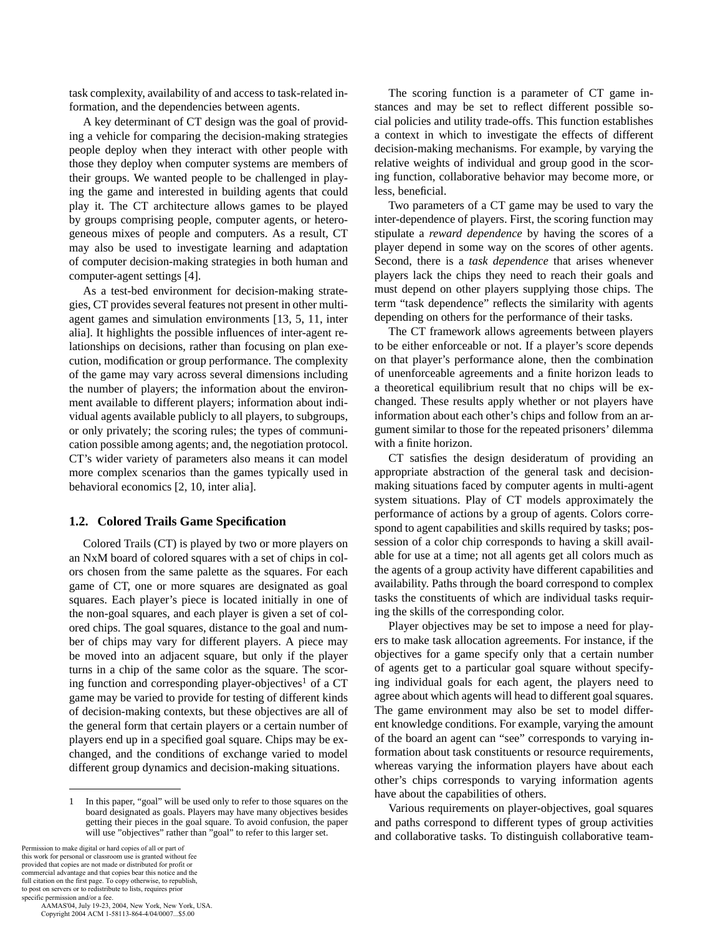task complexity, availability of and access to task-related information, and the dependencies between agents.

A key determinant of CT design was the goal of providing a vehicle for comparing the decision-making strategies people deploy when they interact with other people with those they deploy when computer systems are members of their groups. We wanted people to be challenged in playing the game and interested in building agents that could play it. The CT architecture allows games to be played by groups comprising people, computer agents, or heterogeneous mixes of people and computers. As a result, CT may also be used to investigate learning and adaptation of computer decision-making strategies in both human and computer-agent settings [4].

As a test-bed environment for decision-making strategies, CT provides several features not present in other multiagent games and simulation environments [13, 5, 11, inter alia]. It highlights the possible influences of inter-agent relationships on decisions, rather than focusing on plan execution, modification or group performance. The complexity of the game may vary across several dimensions including the number of players; the information about the environment available to different players; information about individual agents available publicly to all players, to subgroups, or only privately; the scoring rules; the types of communication possible among agents; and, the negotiation protocol. CT's wider variety of parameters also means it can model more complex scenarios than the games typically used in behavioral economics [2, 10, inter alia].

## **1.2. Colored Trails Game Specification**

Colored Trails (CT) is played by two or more players on an NxM board of colored squares with a set of chips in colors chosen from the same palette as the squares. For each game of CT, one or more squares are designated as goal squares. Each player's piece is located initially in one of the non-goal squares, and each player is given a set of colored chips. The goal squares, distance to the goal and number of chips may vary for different players. A piece may be moved into an adjacent square, but only if the player turns in a chip of the same color as the square. The scoring function and corresponding player-objectives<sup>1</sup> of a CT game may be varied to provide for testing of different kinds of decision-making contexts, but these objectives are all of the general form that certain players or a certain number of players end up in a specified goal square. Chips may be exchanged, and the conditions of exchange varied to model different group dynamics and decision-making situations.

Permission to make digital or hard copies of all or part of this work for personal or classroom use is granted without fee provided that copies are not made or distributed for profit or commercial advantage and that copies bear this notice and the full citation on the first page. To copy otherwise, to republish, to post on servers or to redistribute to lists, requires prior specific permission and/or a fee.

 AAMAS'04, July 19-23, 2004, New York, New York, USA. Copyright 2004 ACM 1-58113-864-4/04/0007...\$5.00

The scoring function is a parameter of CT game instances and may be set to reflect different possible social policies and utility trade-offs. This function establishes a context in which to investigate the effects of different decision-making mechanisms. For example, by varying the relative weights of individual and group good in the scoring function, collaborative behavior may become more, or less, beneficial.

Two parameters of a CT game may be used to vary the inter-dependence of players. First, the scoring function may stipulate a *reward dependence* by having the scores of a player depend in some way on the scores of other agents. Second, there is a *task dependence* that arises whenever players lack the chips they need to reach their goals and must depend on other players supplying those chips. The term "task dependence" reflects the similarity with agents depending on others for the performance of their tasks.

The CT framework allows agreements between players to be either enforceable or not. If a player's score depends on that player's performance alone, then the combination of unenforceable agreements and a finite horizon leads to a theoretical equilibrium result that no chips will be exchanged. These results apply whether or not players have information about each other's chips and follow from an argument similar to those for the repeated prisoners' dilemma with a finite horizon.

CT satisfies the design desideratum of providing an appropriate abstraction of the general task and decisionmaking situations faced by computer agents in multi-agent system situations. Play of CT models approximately the performance of actions by a group of agents. Colors correspond to agent capabilities and skills required by tasks; possession of a color chip corresponds to having a skill available for use at a time; not all agents get all colors much as the agents of a group activity have different capabilities and availability. Paths through the board correspond to complex tasks the constituents of which are individual tasks requiring the skills of the corresponding color.

Player objectives may be set to impose a need for players to make task allocation agreements. For instance, if the objectives for a game specify only that a certain number of agents get to a particular goal square without specifying individual goals for each agent, the players need to agree about which agents will head to different goal squares. The game environment may also be set to model different knowledge conditions. For example, varying the amount of the board an agent can "see" corresponds to varying information about task constituents or resource requirements, whereas varying the information players have about each other's chips corresponds to varying information agents have about the capabilities of others.

Various requirements on player-objectives, goal squares and paths correspond to different types of group activities and collaborative tasks. To distinguish collaborative team-

<sup>1</sup> In this paper, "goal" will be used only to refer to those squares on the board designated as goals. Players may have many objectives besides getting their pieces in the goal square. To avoid confusion, the paper will use "objectives" rather than "goal" to refer to this larger set.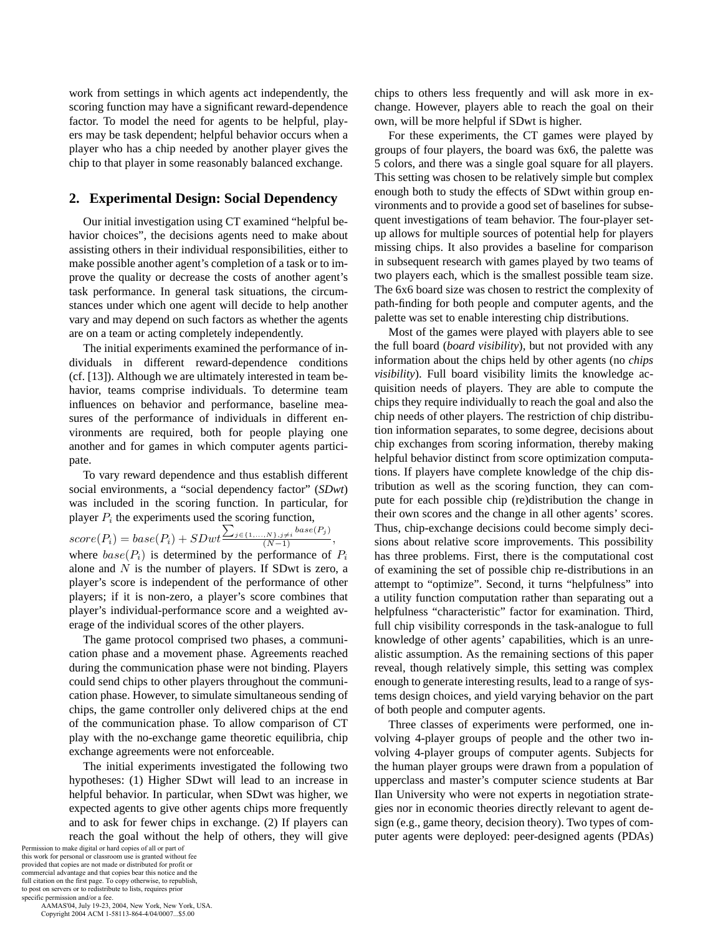work from settings in which agents act independently, the scoring function may have a significant reward-dependence factor. To model the need for agents to be helpful, players may be task dependent; helpful behavior occurs when a player who has a chip needed by another player gives the chip to that player in some reasonably balanced exchange.

# **2. Experimental Design: Social Dependency**

Our initial investigation using CT examined "helpful behavior choices", the decisions agents need to make about assisting others in their individual responsibilities, either to make possible another agent's completion of a task or to improve the quality or decrease the costs of another agent's task performance. In general task situations, the circumstances under which one agent will decide to help another vary and may depend on such factors as whether the agents are on a team or acting completely independently.

The initial experiments examined the performance of individuals in different reward-dependence conditions (cf. [13]). Although we are ultimately interested in team behavior, teams comprise individuals. To determine team influences on behavior and performance, baseline measures of the performance of individuals in different environments are required, both for people playing one another and for games in which computer agents participate.

To vary reward dependence and thus establish different social environments, a "social dependency factor" (*SDwt*) was included in the scoring function. In particular, for player  $P_i$  the experiments used the scoring function,

 $score(P_i) = base(P_i) + SDwt^{\sum_{j \in \{1,...,N\}, j \neq i} base(P_j)}$ where  $base(P_i)$  is determined by the performance of  $P_i$ alone and  $N$  is the number of players. If SDwt is zero, a player's score is independent of the performance of other players; if it is non-zero, a player's score combines that player's individual-performance score and a weighted average of the individual scores of the other players.

The game protocol comprised two phases, a communication phase and a movement phase. Agreements reached during the communication phase were not binding. Players could send chips to other players throughout the communication phase. However, to simulate simultaneous sending of chips, the game controller only delivered chips at the end of the communication phase. To allow comparison of CT play with the no-exchange game theoretic equilibria, chip exchange agreements were not enforceable.

The initial experiments investigated the following two hypotheses: (1) Higher SDwt will lead to an increase in helpful behavior. In particular, when SDwt was higher, we expected agents to give other agents chips more frequently and to ask for fewer chips in exchange. (2) If players can reach the goal without the help of others, they will give

Permission to make digital or hard copies of all or part of this work for personal or classroom use is granted without fee provided that copies are not made or distributed for profit or commercial advantage and that copies bear this notice and the full citation on the first page. To copy otherwise, to republish, to post on servers or to redistribute to lists, requires prior specific permission and/or a fee.

 AAMAS'04, July 19-23, 2004, New York, New York, USA. Copyright 2004 ACM 1-58113-864-4/04/0007...\$5.00

chips to others less frequently and will ask more in exchange. However, players able to reach the goal on their own, will be more helpful if SDwt is higher.

For these experiments, the CT games were played by groups of four players, the board was 6x6, the palette was 5 colors, and there was a single goal square for all players. This setting was chosen to be relatively simple but complex enough both to study the effects of SDwt within group environments and to provide a good set of baselines for subsequent investigations of team behavior. The four-player setup allows for multiple sources of potential help for players missing chips. It also provides a baseline for comparison in subsequent research with games played by two teams of two players each, which is the smallest possible team size. The 6x6 board size was chosen to restrict the complexity of path-finding for both people and computer agents, and the palette was set to enable interesting chip distributions.

Most of the games were played with players able to see the full board (*board visibility*), but not provided with any information about the chips held by other agents (no *chips visibility*). Full board visibility limits the knowledge acquisition needs of players. They are able to compute the chips they require individually to reach the goal and also the chip needs of other players. The restriction of chip distribution information separates, to some degree, decisions about chip exchanges from scoring information, thereby making helpful behavior distinct from score optimization computations. If players have complete knowledge of the chip distribution as well as the scoring function, they can compute for each possible chip (re)distribution the change in their own scores and the change in all other agents' scores. Thus, chip-exchange decisions could become simply decisions about relative score improvements. This possibility has three problems. First, there is the computational cost of examining the set of possible chip re-distributions in an attempt to "optimize". Second, it turns "helpfulness" into a utility function computation rather than separating out a helpfulness "characteristic" factor for examination. Third, full chip visibility corresponds in the task-analogue to full knowledge of other agents' capabilities, which is an unrealistic assumption. As the remaining sections of this paper reveal, though relatively simple, this setting was complex enough to generate interesting results, lead to a range of systems design choices, and yield varying behavior on the part of both people and computer agents.

Three classes of experiments were performed, one involving 4-player groups of people and the other two involving 4-player groups of computer agents. Subjects for the human player groups were drawn from a population of upperclass and master's computer science students at Bar Ilan University who were not experts in negotiation strategies nor in economic theories directly relevant to agent design (e.g., game theory, decision theory). Two types of computer agents were deployed: peer-designed agents (PDAs)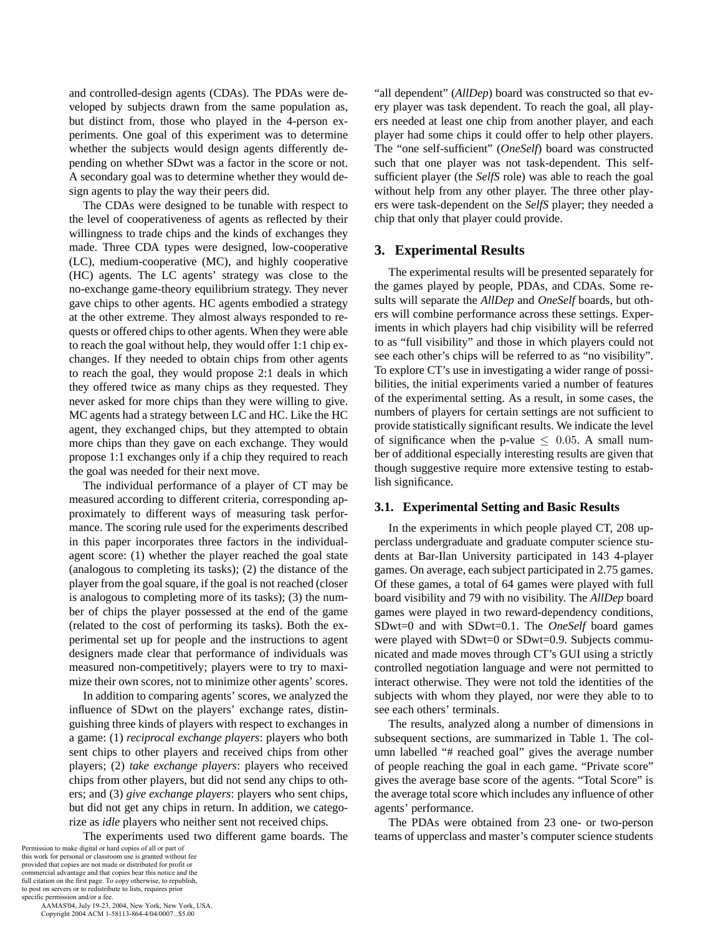and controlled-design agents (CDAs). The PDAs were developed by subjects drawn from the same population as, but distinct from, those who played in the 4-person experiments. One goal of this experiment was to determine whether the subjects would design agents differently depending on whether SDwt was a factor in the score or not. A secondary goal was to determine whether they would design agents to play the way their peers did.

The CDAs were designed to be tunable with respect to the level of cooperativeness of agents as reflected by their willingness to trade chips and the kinds of exchanges they made. Three CDA types were designed, low-cooperative (LC), medium-cooperative (MC), and highly cooperative (HC) agents. The LC agents' strategy was close to the no-exchange game-theory equilibrium strategy. They never gave chips to other agents. HC agents embodied a strategy at the other extreme. They almost always responded to requests or offered chips to other agents. When they were able to reach the goal without help, they would offer 1:1 chip exchanges. If they needed to obtain chips from other agents to reach the goal, they would propose 2:1 deals in which they offered twice as many chips as they requested. They never asked for more chips than they were willing to give. MC agents had a strategy between LC and HC. Like the HC agent, they exchanged chips, but they attempted to obtain more chips than they gave on each exchange. They would propose 1:1 exchanges only if a chip they required to reach the goal was needed for their next move.

The individual performance of a player of CT may be measured according to different criteria, corresponding approximately to different ways of measuring task performance. The scoring rule used for the experiments described in this paper incorporates three factors in the individualagent score: (1) whether the player reached the goal state (analogous to completing its tasks); (2) the distance of the player from the goal square, if the goal is not reached (closer is analogous to completing more of its tasks); (3) the number of chips the player possessed at the end of the game (related to the cost of performing its tasks). Both the experimental set up for people and the instructions to agent designers made clear that performance of individuals was measured non-competitively; players were to try to maximize their own scores, not to minimize other agents' scores.

In addition to comparing agents' scores, we analyzed the influence of SDwt on the players' exchange rates, distinguishing three kinds of players with respect to exchanges in a game: (1) *reciprocal exchange players*: players who both sent chips to other players and received chips from other players; (2) *take exchange players*: players who received chips from other players, but did not send any chips to others; and (3) *give exchange players*: players who sent chips, but did not get any chips in return. In addition, we categorize as *idle* players who neither sent not received chips.

The experiments used two different game boards. The

Permission to make digital or hard copies of all or part of this work for personal or classroom use is granted without fee provided that copies are not made or distributed for profit or commercial advantage and that copies bear this notice and the full citation on the first page. To copy otherwise, to republish, to post on servers or to redistribute to lists, requires prior specific permission and/or a fee.

 AAMAS'04, July 19-23, 2004, New York, New York, USA. Copyright 2004 ACM 1-58113-864-4/04/0007...\$5.00

"all dependent" (*AllDep*) board was constructed so that every player was task dependent. To reach the goal, all players needed at least one chip from another player, and each player had some chips it could offer to help other players. The "one self-sufficient" (*OneSelf*) board was constructed such that one player was not task-dependent. This selfsufficient player (the *SelfS* role) was able to reach the goal without help from any other player. The three other players were task-dependent on the *SelfS* player; they needed a chip that only that player could provide.

# **3. Experimental Results**

The experimental results will be presented separately for the games played by people, PDAs, and CDAs. Some results will separate the *AllDep* and *OneSelf* boards, but others will combine performance across these settings. Experiments in which players had chip visibility will be referred to as "full visibility" and those in which players could not see each other's chips will be referred to as "no visibility". To explore CT's use in investigating a wider range of possibilities, the initial experiments varied a number of features of the experimental setting. As a result, in some cases, the numbers of players for certain settings are not sufficient to provide statistically significant results. We indicate the level of significance when the p-value  $\leq$  0.05. A small number of additional especially interesting results are given that though suggestive require more extensive testing to establish significance.

## **3.1. Experimental Setting and Basic Results**

In the experiments in which people played CT, 208 upperclass undergraduate and graduate computer science students at Bar-Ilan University participated in 143 4-player games. On average, each subject participated in 2.75 games. Of these games, a total of 64 games were played with full board visibility and 79 with no visibility. The *AllDep* board games were played in two reward-dependency conditions, SDwt=0 and with SDwt=0.1. The *OneSelf* board games were played with SDwt=0 or SDwt=0.9. Subjects communicated and made moves through CT's GUI using a strictly controlled negotiation language and were not permitted to interact otherwise. They were not told the identities of the subjects with whom they played, nor were they able to to see each others' terminals.

The results, analyzed along a number of dimensions in subsequent sections, are summarized in Table 1. The column labelled "# reached goal" gives the average number of people reaching the goal in each game. "Private score" gives the average base score of the agents. "Total Score" is the average total score which includes any influence of other agents' performance.

The PDAs were obtained from 23 one- or two-person teams of upperclass and master's computer science students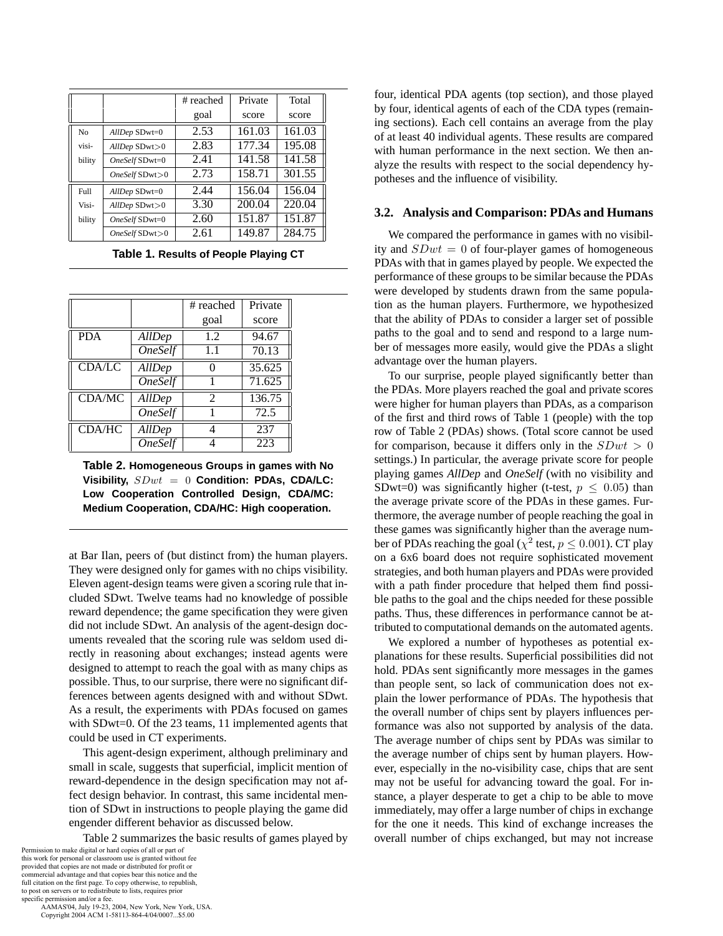|        |                     | # reached | Private | Total  |
|--------|---------------------|-----------|---------|--------|
|        |                     | goal      | score   | score  |
| No     | $AllDep$ SDwt=0     | 2.53      | 161.03  | 161.03 |
| visi-  | $AllDep$ SDwt $>0$  | 2.83      | 177.34  | 195.08 |
| bility | OneSelf SDwt=0      | 2.41      | 141.58  | 141.58 |
|        | $OneSelf$ SDwt $>0$ | 2.73      | 158.71  | 301.55 |
| Full   | $AllDep$ SDwt=0     | 2.44      | 156.04  | 156.04 |
| Visi-  | $AllDep$ SDwt $>0$  | 3.30      | 200.04  | 220.04 |
| bility | OneSelf SDwt=0      | 2.60      | 151.87  | 151.87 |
|        | $OneSelf$ SDwt $>0$ | 2.61      | 149.87  | 284.75 |

**Table 1. Results of People Playing CT**

|               |                       | # reached      | Private            |
|---------------|-----------------------|----------------|--------------------|
|               |                       | goal           | score              |
| <b>PDA</b>    | AllDep                | 1.2            | 94.67              |
|               | $\overline{O}$ neSelf | 1.1            | $\overline{70.13}$ |
| <b>CDA/LC</b> | AllDep                |                | 35.625             |
|               | <i><b>OneSelf</b></i> |                | 71.625             |
| CDA/MC        | AllDep                | $\mathfrak{D}$ | 136.75             |
|               | <b>OneSelf</b>        |                | 72.5               |
| CDA/HC        | <b>AllDep</b>         |                | 237                |
|               | <i><b>OneSelf</b></i> |                | 223                |

**Table 2. Homogeneous Groups in games with No Visibility,** SDwt = 0 **Condition: PDAs, CDA/LC: Low Cooperation Controlled Design, CDA/MC: Medium Cooperation, CDA/HC: High cooperation.**

at Bar Ilan, peers of (but distinct from) the human players. They were designed only for games with no chips visibility. Eleven agent-design teams were given a scoring rule that included SDwt. Twelve teams had no knowledge of possible reward dependence; the game specification they were given did not include SDwt. An analysis of the agent-design documents revealed that the scoring rule was seldom used directly in reasoning about exchanges; instead agents were designed to attempt to reach the goal with as many chips as possible. Thus, to our surprise, there were no significant differences between agents designed with and without SDwt. As a result, the experiments with PDAs focused on games with SDwt=0. Of the 23 teams, 11 implemented agents that could be used in CT experiments.

This agent-design experiment, although preliminary and small in scale, suggests that superficial, implicit mention of reward-dependence in the design specification may not affect design behavior. In contrast, this same incidental mention of SDwt in instructions to people playing the game did engender different behavior as discussed below.

Table 2 summarizes the basic results of games played by

Permission to make digital or hard copies of all or part of this work for personal or classroom use is granted without fee provided that copies are not made or distributed for profit or commercial advantage and that copies bear this notice and the full citation on the first page. To copy otherwise, to republish, to post on servers or to redistribute to lists, requires prior specific permission and/or a fee.

 AAMAS'04, July 19-23, 2004, New York, New York, USA. Copyright 2004 ACM 1-58113-864-4/04/0007...\$5.00

four, identical PDA agents (top section), and those played by four, identical agents of each of the CDA types (remaining sections). Each cell contains an average from the play of at least 40 individual agents. These results are compared with human performance in the next section. We then analyze the results with respect to the social dependency hypotheses and the influence of visibility.

## **3.2. Analysis and Comparison: PDAs and Humans**

We compared the performance in games with no visibility and  $SDwt = 0$  of four-player games of homogeneous PDAs with that in games played by people. We expected the performance of these groups to be similar because the PDAs were developed by students drawn from the same population as the human players. Furthermore, we hypothesized that the ability of PDAs to consider a larger set of possible paths to the goal and to send and respond to a large number of messages more easily, would give the PDAs a slight advantage over the human players.

To our surprise, people played significantly better than the PDAs. More players reached the goal and private scores were higher for human players than PDAs, as a comparison of the first and third rows of Table 1 (people) with the top row of Table 2 (PDAs) shows. (Total score cannot be used for comparison, because it differs only in the  $SDwt > 0$ settings.) In particular, the average private score for people playing games *AllDep* and *OneSelf* (with no visibility and SDwt=0) was significantly higher (t-test,  $p \leq 0.05$ ) than the average private score of the PDAs in these games. Furthermore, the average number of people reaching the goal in these games was significantly higher than the average number of PDAs reaching the goal ( $\chi^2$  test,  $p \leq 0.001$ ). CT play on a 6x6 board does not require sophisticated movement strategies, and both human players and PDAs were provided with a path finder procedure that helped them find possible paths to the goal and the chips needed for these possible paths. Thus, these differences in performance cannot be attributed to computational demands on the automated agents.

We explored a number of hypotheses as potential explanations for these results. Superficial possibilities did not hold. PDAs sent significantly more messages in the games than people sent, so lack of communication does not explain the lower performance of PDAs. The hypothesis that the overall number of chips sent by players influences performance was also not supported by analysis of the data. The average number of chips sent by PDAs was similar to the average number of chips sent by human players. However, especially in the no-visibility case, chips that are sent may not be useful for advancing toward the goal. For instance, a player desperate to get a chip to be able to move immediately, may offer a large number of chips in exchange for the one it needs. This kind of exchange increases the overall number of chips exchanged, but may not increase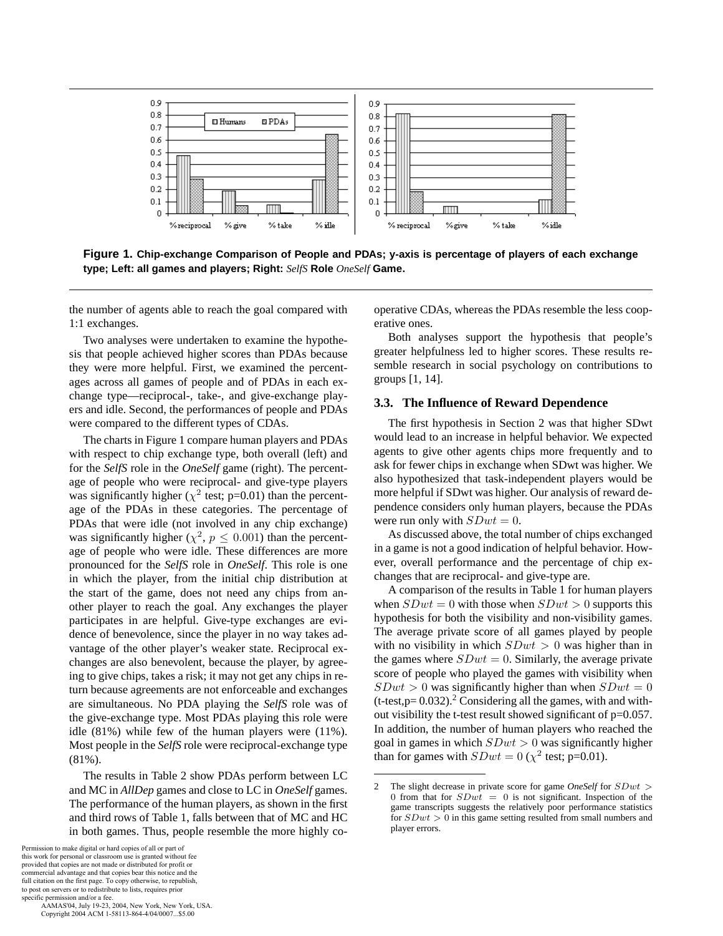

**Figure 1. Chip-exchange Comparison of People and PDAs; y-axis is percentage of players of each exchange type; Left: all games and players; Right:** *SelfS* **Role** *OneSelf* **Game.**

the number of agents able to reach the goal compared with 1:1 exchanges.

Two analyses were undertaken to examine the hypothesis that people achieved higher scores than PDAs because they were more helpful. First, we examined the percentages across all games of people and of PDAs in each exchange type—reciprocal-, take-, and give-exchange players and idle. Second, the performances of people and PDAs were compared to the different types of CDAs.

The charts in Figure 1 compare human players and PDAs with respect to chip exchange type, both overall (left) and for the *SelfS* role in the *OneSelf* game (right). The percentage of people who were reciprocal- and give-type players was significantly higher ( $\chi^2$  test; p=0.01) than the percentage of the PDAs in these categories. The percentage of PDAs that were idle (not involved in any chip exchange) was significantly higher ( $\chi^2$ ,  $p \leq 0.001$ ) than the percentage of people who were idle. These differences are more pronounced for the *SelfS* role in *OneSelf*. This role is one in which the player, from the initial chip distribution at the start of the game, does not need any chips from another player to reach the goal. Any exchanges the player participates in are helpful. Give-type exchanges are evidence of benevolence, since the player in no way takes advantage of the other player's weaker state. Reciprocal exchanges are also benevolent, because the player, by agreeing to give chips, takes a risk; it may not get any chips in return because agreements are not enforceable and exchanges are simultaneous. No PDA playing the *SelfS* role was of the give-exchange type. Most PDAs playing this role were idle (81%) while few of the human players were (11%). Most people in the *SelfS* role were reciprocal-exchange type (81%).

The results in Table 2 show PDAs perform between LC and MC in *AllDep* games and close to LC in *OneSelf* games. The performance of the human players, as shown in the first and third rows of Table 1, falls between that of MC and HC in both games. Thus, people resemble the more highly co-

 AAMAS'04, July 19-23, 2004, New York, New York, USA. Copyright 2004 ACM 1-58113-864-4/04/0007...\$5.00

operative CDAs, whereas the PDAs resemble the less cooperative ones.

Both analyses support the hypothesis that people's greater helpfulness led to higher scores. These results resemble research in social psychology on contributions to groups [1, 14].

# **3.3. The Influence of Reward Dependence**

The first hypothesis in Section 2 was that higher SDwt would lead to an increase in helpful behavior. We expected agents to give other agents chips more frequently and to ask for fewer chips in exchange when SDwt was higher. We also hypothesized that task-independent players would be more helpful if SDwt was higher. Our analysis of reward dependence considers only human players, because the PDAs were run only with  $SDwt = 0$ .

As discussed above, the total number of chips exchanged in a game is not a good indication of helpful behavior. However, overall performance and the percentage of chip exchanges that are reciprocal- and give-type are.

A comparison of the results in Table 1 for human players when  $SDwt = 0$  with those when  $SDwt > 0$  supports this hypothesis for both the visibility and non-visibility games. The average private score of all games played by people with no visibility in which  $SDwt > 0$  was higher than in the games where  $SDwt = 0$ . Similarly, the average private score of people who played the games with visibility when  $SDwt > 0$  was significantly higher than when  $SDwt = 0$  $(t-test, p= 0.032).$ <sup>2</sup> Considering all the games, with and without visibility the t-test result showed significant of p=0.057. In addition, the number of human players who reached the goal in games in which  $SDwt > 0$  was significantly higher than for games with  $SDwt = 0$  ( $\chi^2$  test; p=0.01).

<sup>2</sup> The slight decrease in private score for game *OneSelf* for SDwt > 0 from that for  $SDwt = 0$  is not significant. Inspection of the game transcripts suggests the relatively poor performance statistics for  $SDwt > 0$  in this game setting resulted from small numbers and player errors.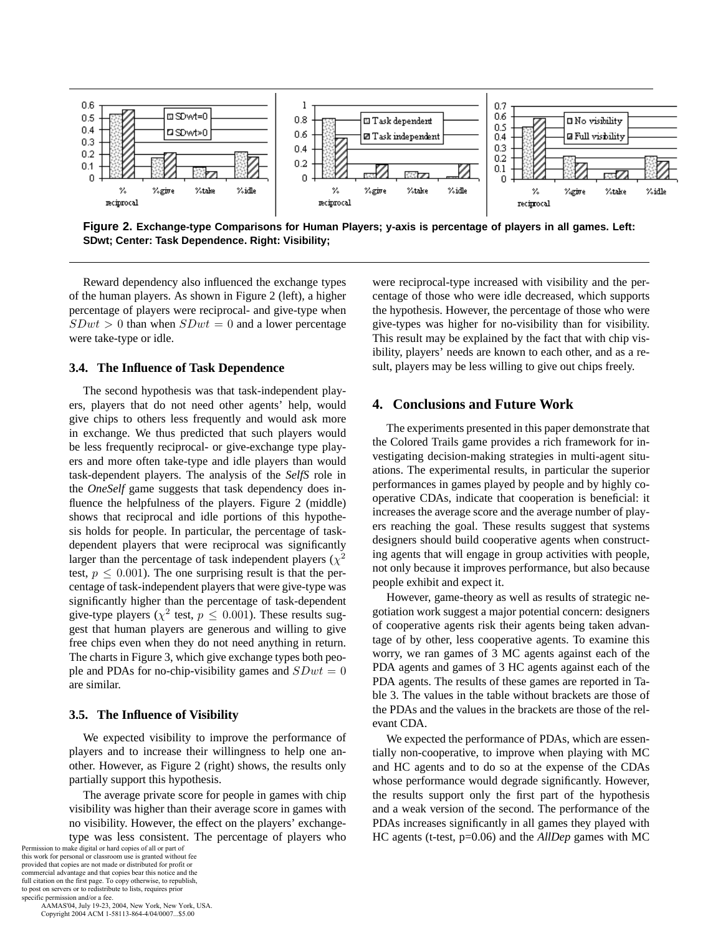

**Figure 2. Exchange-type Comparisons for Human Players; y-axis is percentage of players in all games. Left: SDwt; Center: Task Dependence. Right: Visibility;**

Reward dependency also influenced the exchange types of the human players. As shown in Figure 2 (left), a higher percentage of players were reciprocal- and give-type when  $SDwt > 0$  than when  $SDwt = 0$  and a lower percentage were take-type or idle.

#### **3.4. The Influence of Task Dependence**

The second hypothesis was that task-independent players, players that do not need other agents' help, would give chips to others less frequently and would ask more in exchange. We thus predicted that such players would be less frequently reciprocal- or give-exchange type players and more often take-type and idle players than would task-dependent players. The analysis of the *SelfS* role in the *OneSelf* game suggests that task dependency does influence the helpfulness of the players. Figure 2 (middle) shows that reciprocal and idle portions of this hypothesis holds for people. In particular, the percentage of taskdependent players that were reciprocal was significantly larger than the percentage of task independent players ( $\chi^2$ ) test,  $p \leq 0.001$ ). The one surprising result is that the percentage of task-independent players that were give-type was significantly higher than the percentage of task-dependent give-type players ( $\chi^2$  test,  $p \leq 0.001$ ). These results suggest that human players are generous and willing to give free chips even when they do not need anything in return. The charts in Figure 3, which give exchange types both people and PDAs for no-chip-visibility games and  $SDwt = 0$ are similar.

## **3.5. The Influence of Visibility**

We expected visibility to improve the performance of players and to increase their willingness to help one another. However, as Figure 2 (right) shows, the results only partially support this hypothesis.

The average private score for people in games with chip visibility was higher than their average score in games with no visibility. However, the effect on the players' exchangetype was less consistent. The percentage of players who

Permission to make digital or hard copies of all or part of this work for personal or classroom use is granted without fee provided that copies are not made or distributed for profit or commercial advantage and that copies bear this notice and the full citation on the first page. To copy otherwise, to republish, to post on servers or to redistribute to lists, requires prior specific permission and/or a fee.

 AAMAS'04, July 19-23, 2004, New York, New York, USA. Copyright 2004 ACM 1-58113-864-4/04/0007...\$5.00

were reciprocal-type increased with visibility and the percentage of those who were idle decreased, which supports the hypothesis. However, the percentage of those who were give-types was higher for no-visibility than for visibility. This result may be explained by the fact that with chip visibility, players' needs are known to each other, and as a result, players may be less willing to give out chips freely.

# **4. Conclusions and Future Work**

The experiments presented in this paper demonstrate that the Colored Trails game provides a rich framework for investigating decision-making strategies in multi-agent situations. The experimental results, in particular the superior performances in games played by people and by highly cooperative CDAs, indicate that cooperation is beneficial: it increases the average score and the average number of players reaching the goal. These results suggest that systems designers should build cooperative agents when constructing agents that will engage in group activities with people, not only because it improves performance, but also because people exhibit and expect it.

However, game-theory as well as results of strategic negotiation work suggest a major potential concern: designers of cooperative agents risk their agents being taken advantage of by other, less cooperative agents. To examine this worry, we ran games of 3 MC agents against each of the PDA agents and games of 3 HC agents against each of the PDA agents. The results of these games are reported in Table 3. The values in the table without brackets are those of the PDAs and the values in the brackets are those of the relevant CDA.

We expected the performance of PDAs, which are essentially non-cooperative, to improve when playing with MC and HC agents and to do so at the expense of the CDAs whose performance would degrade significantly. However, the results support only the first part of the hypothesis and a weak version of the second. The performance of the PDAs increases significantly in all games they played with HC agents (t-test, p=0.06) and the *AllDep* games with MC